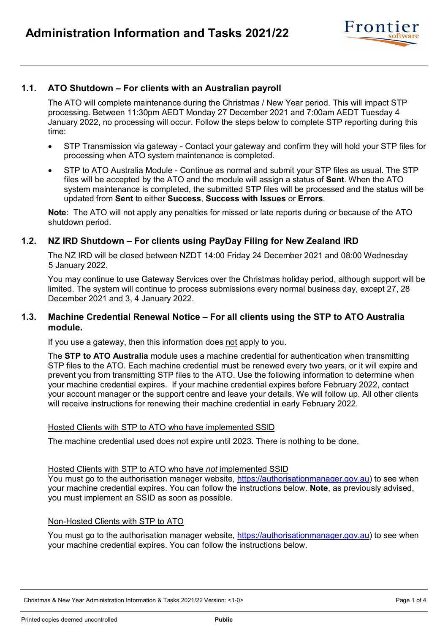

# **1.1. ATO Shutdown – For clients with an Australian payroll**

The ATO will complete maintenance during the Christmas / New Year period. This will impact STP processing. Between 11:30pm AEDT Monday 27 December 2021 and 7:00am AEDT Tuesday 4 January 2022, no processing will occur. Follow the steps below to complete STP reporting during this time:

- STP Transmission via gateway Contact your gateway and confirm they will hold your STP files for processing when ATO system maintenance is completed.
- STP to ATO Australia Module Continue as normal and submit your STP files as usual. The STP files will be accepted by the ATO and the module will assign a status of **Sent**. When the ATO system maintenance is completed, the submitted STP files will be processed and the status will be updated from **Sent** to either **Success**, **Success with Issues** or **Errors**.

**Note**: The ATO will not apply any penalties for missed or late reports during or because of the ATO shutdown period.

## **1.2. NZ IRD Shutdown – For clients using PayDay Filing for New Zealand IRD**

The NZ IRD will be closed between NZDT 14:00 Friday 24 December 2021 and 08:00 Wednesday 5 January 2022.

You may continue to use Gateway Services over the Christmas holiday period, although support will be limited. The system will continue to process submissions every normal business day, except 27, 28 December 2021 and 3, 4 January 2022.

## **1.3. Machine Credential Renewal Notice – For all clients using the STP to ATO Australia module.**

If you use a gateway, then this information does not apply to you.

The **STP to ATO Australia** module uses a machine credential for authentication when transmitting STP files to the ATO. Each machine credential must be renewed every two years, or it will expire and prevent you from transmitting STP files to the ATO. Use the following information to determine when your machine credential expires. If your machine credential expires before February 2022, contact your account manager or the support centre and leave your details. We will follow up. All other clients will receive instructions for renewing their machine credential in early February 2022.

### Hosted Clients with STP to ATO who have implemented SSID

The machine credential used does not expire until 2023. There is nothing to be done.

### Hosted Clients with STP to ATO who have *not* implemented SSID

You must go to the authorisation manager website, [https://authorisationmanager.gov.au\)](https://authorisationmanager.gov.au/) to see when your machine credential expires. You can follow the instructions below. **Note**, as previously advised, you must implement an SSID as soon as possible.

### Non-Hosted Clients with STP to ATO

You must go to the authorisation manager website, [https://authorisationmanager.gov.au\)](https://authorisationmanager.gov.au/) to see when your machine credential expires. You can follow the instructions below.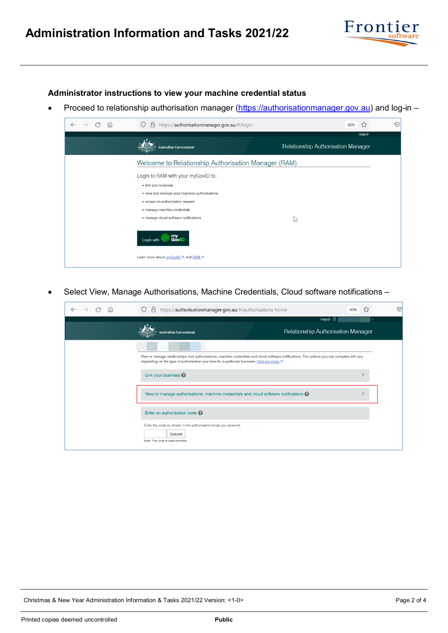

**Administrator instructions to view your machine credential status**

• Proceed to relationship authorisation manager [\(https://authorisationmanager.gov.au\)](https://authorisationmanager.gov.au/) and log-in –

| ín) | https://authorisationmanager.gov.au/#/login<br>₿                  |                                           | 60% | 53    | ♡ |
|-----|-------------------------------------------------------------------|-------------------------------------------|-----|-------|---|
|     |                                                                   |                                           |     | Helpe |   |
|     | ustralian Government                                              | <b>Relationship Authorisation Manager</b> |     |       |   |
|     | Welcome to Relationship Authorisation Manager (RAM)               |                                           |     |       |   |
|     | Login to RAM with your myGovID to:                                |                                           |     |       |   |
|     | · link your business                                              |                                           |     |       |   |
|     | • view and manage your business authorisations                    |                                           |     |       |   |
|     | · accept an authorisation request                                 |                                           |     |       |   |
|     | · manage machine credentials                                      |                                           |     |       |   |
|     | · manage cloud software notifications                             | じ                                         |     |       |   |
|     | my<br>GovID<br>Login with<br>Learn more about myGovID & and RAM & |                                           |     |       |   |
|     |                                                                   |                                           |     |       |   |

• Select View, Manage Authorisations, Machine Credentials, Cloud software notifications –

| $\theta$ https://authorisationmanager.gov.au/#/authorisations-home<br>O                                                                                                                                                                     | 60%                                       | ▽ |
|---------------------------------------------------------------------------------------------------------------------------------------------------------------------------------------------------------------------------------------------|-------------------------------------------|---|
|                                                                                                                                                                                                                                             | Helpe &                                   |   |
| ustralian Government                                                                                                                                                                                                                        | <b>Relationship Authorisation Manager</b> |   |
|                                                                                                                                                                                                                                             |                                           |   |
| View or manage relationships and authorisations, machine credentials and cloud software notifications. The actions you can complete will vary<br>depending on the type of authorisation you have for a particular business. Find out more G |                                           |   |
| Link your business                                                                                                                                                                                                                          |                                           |   |
| View or manage authorisations, machine credentials and cloud software notifications $\bigcirc$                                                                                                                                              |                                           |   |
| Enter an authorisation code <sup>2</sup>                                                                                                                                                                                                    |                                           |   |
| Enter the code as shown in the authorisation email you received.<br><b>Submit</b><br>Note: The code is case sensitive                                                                                                                       |                                           |   |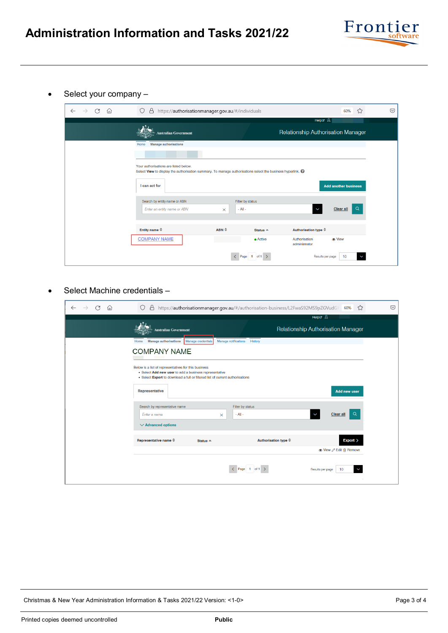

• Select your company –

| ⋒<br>C<br>$\leftarrow$ | A https://authorisationmanager.gov.au/#/individuals<br>О                                                                                                                                   |                              |                                | ☆<br>60%                                                                         | $\odot$ |
|------------------------|--------------------------------------------------------------------------------------------------------------------------------------------------------------------------------------------|------------------------------|--------------------------------|----------------------------------------------------------------------------------|---------|
|                        | <b>Australian Government</b>                                                                                                                                                               |                              |                                | Helpe &<br>Relationship Authorisation Manager                                    |         |
|                        | <b>Manage authorisations</b><br>Home<br>Your authorisations are listed below.<br>Select View to display the authorisation summary. To manage authorisations select the business hyperlink. |                              |                                |                                                                                  |         |
|                        | I can act for<br>Search by entity name or ABN                                                                                                                                              |                              | Filter by status               | <b>Add another business</b>                                                      |         |
|                        | Enter an entity name or ABN                                                                                                                                                                | $\times$<br>$ABN \triangleq$ | $-$ All $-$                    | Q<br><b>Clear all</b><br>$\checkmark$                                            |         |
|                        | Entity name $\triangleq$<br><b>COMPANY NAME</b>                                                                                                                                            |                              | Status $\triangle$<br>• Active | Authorisation type $\hat{=}$<br>Authorisation<br><b>Co</b> View<br>administrator |         |
|                        |                                                                                                                                                                                            |                              | Page<br>of $1 \rightarrow$     | Results per page<br>10<br>٨                                                      |         |

• Select Machine credentials –

| G<br>⋒<br>$\leftarrow$ | A                                                                                                                                                                                               | https://authorisationmanager.gov.au/#/authorisation-business/L2FwaS92MS9pZGVudG  60% | ☆<br>$\odot$                                        |
|------------------------|-------------------------------------------------------------------------------------------------------------------------------------------------------------------------------------------------|--------------------------------------------------------------------------------------|-----------------------------------------------------|
|                        | <b>Australian Government</b>                                                                                                                                                                    |                                                                                      | Helpo &<br>Relationship Authorisation Manager       |
|                        | <b>Manage authorisations</b><br>Manage credentials<br>Home<br><b>COMPANY NAME</b>                                                                                                               | Manage notifications<br>History                                                      |                                                     |
|                        | Below is a list of representatives for this business<br>• Select Add new user to add a business representative<br>. Select Export to download a full or filtered list of current authorisations |                                                                                      |                                                     |
|                        | Representative<br>Search by representative name<br>Enter a name<br>×                                                                                                                            | Filter by status<br>$-$ All $-$                                                      | <b>Add new user</b><br>$\alpha$<br><b>Clear all</b> |
|                        | $\vee$ Advanced options<br>Representative name $\hat{=}$<br>Status $\triangle$                                                                                                                  | Authorisation type $\hat{=}$                                                         | Export >                                            |
|                        |                                                                                                                                                                                                 |                                                                                      | ● View  Edit n Remove                               |
|                        |                                                                                                                                                                                                 | $\langle$ Page 1 of 1 $\rangle$                                                      | 10<br>Results per page<br>V                         |